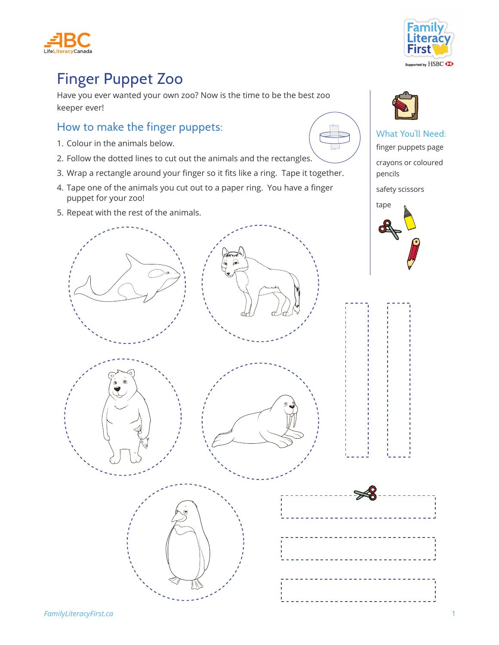



## Finger Puppet Zoo

Have you ever wanted your own zoo? Now is the time to be the best zoo keeper ever!

## How to make the finger puppets:

- 1. Colour in the animals below.
- 2. Follow the dotted lines to cut out the animals and the rectangles.
- 3. Wrap a rectangle around your finger so it fits like a ring. Tape it together.
- 4. Tape one of the animals you cut out to a paper ring. You have a finger puppet for your zoo!
- 5. Repeat with the rest of the animals.





## What You'll Need:

finger puppets page

crayons or coloured pencils

safety scissors